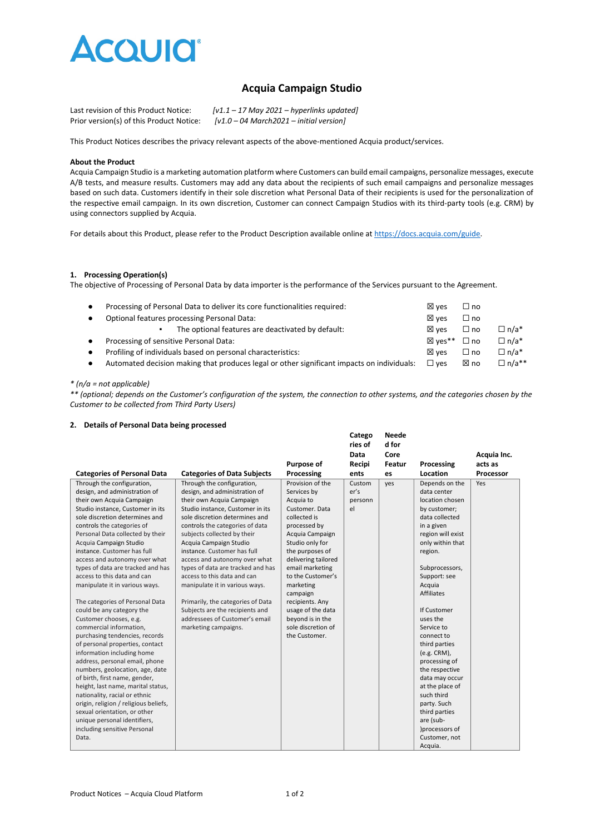

# **Acquia Campaign Studio**

| Last revision of this Product Notice:    | $[v1.1 - 17$ May 2021 – hyperlinks updated] |
|------------------------------------------|---------------------------------------------|
| Prior version(s) of this Product Notice: | $[v1.0 - 04 March 2021 - initial version]$  |

This Product Notices describes the privacy relevant aspects of the above-mentioned Acquia product/services.

### **About the Product**

Acquia Campaign Studio is a marketing automation platform where Customers can build email campaigns, personalize messages, execute A/B tests, and measure results. Customers may add any data about the recipients of such email campaigns and personalize messages based on such data. Customers identify in their sole discretion what Personal Data of their recipients is used for the personalization of the respective email campaign. In its own discretion, Customer can connect Campaign Studios with its third-party tools (e.g. CRM) by using connectors supplied by Acquia.

For details about this Product, please refer to the Product Description available online at [https://docs.acquia.com/guide.](https://docs.acquia.com/guide)

# **1. Processing Operation(s)**

The objective of Processing of Personal Data by data importer is the performance of the Services pursuant to the Agreement.

| $\bullet$ | Processing of Personal Data to deliver its core functionalities required:                  | $\boxtimes$ ves | $\sqcup$ no  |              |
|-----------|--------------------------------------------------------------------------------------------|-----------------|--------------|--------------|
| $\bullet$ | Optional features processing Personal Data:                                                |                 | $\square$ no |              |
|           | The optional features are deactivated by default:                                          | $\boxtimes$ ves | $\Box$ no    | $\Box$ n/a*  |
| $\bullet$ | Processing of sensitive Personal Data:                                                     | ⊠ ves**         | $\Box$ no    | $\Box$ n/a*  |
| $\bullet$ | Profiling of individuals based on personal characteristics:                                | $\boxtimes$ ves | $\Box$ no    | $\Box$ n/a*  |
| $\bullet$ | Automated decision making that produces legal or other significant impacts on individuals: | $\square$ ves   | ⊠ no         | $\Box$ n/a** |
|           |                                                                                            |                 |              |              |

# *\* (n/a = not applicable)*

*\*\* (optional; depends on the Customer's configuration of the system, the connection to other systems, and the categories chosen by the Customer to be collected from Third Party Users)*

#### **2. Details of Personal Data being processed**

|                                       |                                    |                     | Catego  | <b>Neede</b> |                   |             |
|---------------------------------------|------------------------------------|---------------------|---------|--------------|-------------------|-------------|
|                                       |                                    |                     | ries of | d for        |                   |             |
|                                       |                                    |                     | Data    | Core         |                   | Acquia Inc. |
|                                       |                                    | Purpose of          | Recipi  | Featur       | Processing        | acts as     |
| <b>Categories of Personal Data</b>    | <b>Categories of Data Subjects</b> | Processing          | ents    | es           | Location          | Processor   |
| Through the configuration,            | Through the configuration,         | Provision of the    | Custom  | yes          | Depends on the    | Yes         |
| design, and administration of         | design, and administration of      | Services by         | er's    |              | data center       |             |
| their own Acquia Campaign             | their own Acquia Campaign          | Acquia to           | personn |              | location chosen   |             |
| Studio instance, Customer in its      | Studio instance, Customer in its   | Customer, Data      | el      |              | by customer;      |             |
| sole discretion determines and        | sole discretion determines and     | collected is        |         |              | data collected    |             |
| controls the categories of            | controls the categories of data    | processed by        |         |              | in a given        |             |
| Personal Data collected by their      | subjects collected by their        | Acquia Campaign     |         |              | region will exist |             |
| Acquia Campaign Studio                | Acquia Campaign Studio             | Studio only for     |         |              | only within that  |             |
| instance. Customer has full           | instance. Customer has full        | the purposes of     |         |              | region.           |             |
| access and autonomy over what         | access and autonomy over what      | delivering tailored |         |              |                   |             |
| types of data are tracked and has     | types of data are tracked and has  | email marketing     |         |              | Subprocessors,    |             |
| access to this data and can           | access to this data and can        | to the Customer's   |         |              | Support: see      |             |
| manipulate it in various ways.        | manipulate it in various ways.     | marketing           |         |              | Acquia            |             |
|                                       |                                    | campaign            |         |              | <b>Affiliates</b> |             |
| The categories of Personal Data       | Primarily, the categories of Data  | recipients. Any     |         |              |                   |             |
| could be any category the             | Subjects are the recipients and    | usage of the data   |         |              | If Customer       |             |
| Customer chooses, e.g.                | addressees of Customer's email     | beyond is in the    |         |              | uses the          |             |
| commercial information,               | marketing campaigns.               | sole discretion of  |         |              | Service to        |             |
| purchasing tendencies, records        |                                    | the Customer.       |         |              | connect to        |             |
| of personal properties, contact       |                                    |                     |         |              | third parties     |             |
| information including home            |                                    |                     |         |              | (e.g. CRM),       |             |
| address, personal email, phone        |                                    |                     |         |              | processing of     |             |
| numbers, geolocation, age, date       |                                    |                     |         |              | the respective    |             |
| of birth, first name, gender,         |                                    |                     |         |              | data may occur    |             |
| height, last name, marital status,    |                                    |                     |         |              | at the place of   |             |
| nationality, racial or ethnic         |                                    |                     |         |              | such third        |             |
| origin, religion / religious beliefs, |                                    |                     |         |              | party. Such       |             |
| sexual orientation, or other          |                                    |                     |         |              | third parties     |             |
| unique personal identifiers,          |                                    |                     |         |              | are (sub-         |             |
| including sensitive Personal          |                                    |                     |         |              | )processors of    |             |
| Data.                                 |                                    |                     |         |              | Customer, not     |             |
|                                       |                                    |                     |         |              | Acquia.           |             |